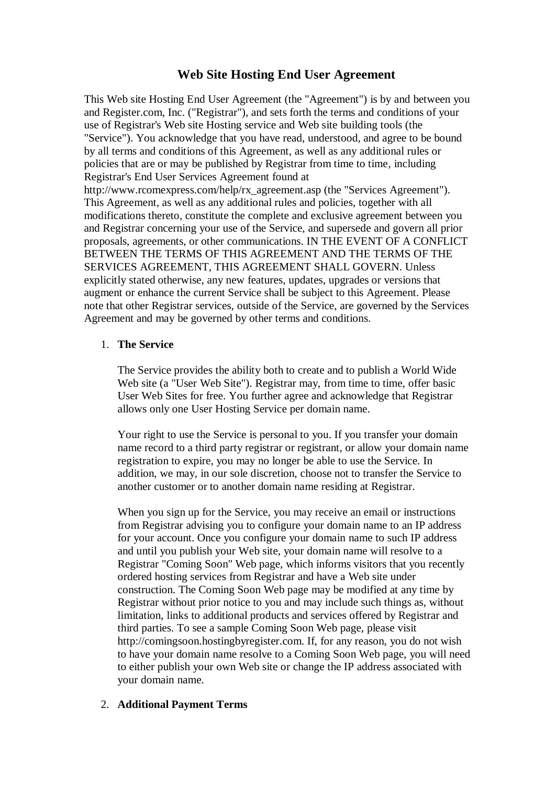# **Web Site Hosting End User Agreement**

This Web site Hosting End User Agreement (the "Agreement") is by and between you and Register.com, Inc. ("Registrar"), and sets forth the terms and conditions of your use of Registrar's Web site Hosting service and Web site building tools (the "Service"). You acknowledge that you have read, understood, and agree to be bound by all terms and conditions of this Agreement, as well as any additional rules or policies that are or may be published by Registrar from time to time, including Registrar's End User Services Agreement found at [http://www.rcomexpress.com/help/rx\\_agreement.asp](http://www.rcomexpress.com/help/rx_agreement.asp) (the "Services Agreement"). This Agreement, as well as any additional rules and policies, together with all modifications thereto, constitute the complete and exclusive agreement between you and Registrar concerning your use of the Service, and supersede and govern all prior proposals, agreements, or other communications. IN THE EVENT OF A CONFLICT BETWEEN THE TERMS OF THIS AGREEMENT AND THE TERMS OF THE SERVICES AGREEMENT, THIS AGREEMENT SHALL GOVERN. Unless explicitly stated otherwise, any new features, updates, upgrades or versions that augment or enhance the current Service shall be subject to this Agreement. Please note that other Registrar services, outside of the Service, are governed by the Services Agreement and may be governed by other terms and conditions.

### 1. **The Service**

The Service provides the ability both to create and to publish a World Wide Web site (a "User Web Site"). Registrar may, from time to time, offer basic User Web Sites for free. You further agree and acknowledge that Registrar allows only one User Hosting Service per domain name.

Your right to use the Service is personal to you. If you transfer your domain name record to a third party registrar or registrant, or allow your domain name registration to expire, you may no longer be able to use the Service. In addition, we may, in our sole discretion, choose not to transfer the Service to another customer or to another domain name residing at Registrar.

When you sign up for the Service, you may receive an email or instructions from Registrar advising you to configure your domain name to an IP address for your account. Once you configure your domain name to such IP address and until you publish your Web site, your domain name will resolve to a Registrar "Coming Soon" Web page, which informs visitors that you recently ordered hosting services from Registrar and have a Web site under construction. The Coming Soon Web page may be modified at any time by Registrar without prior notice to you and may include such things as, without limitation, links to additional products and services offered by Registrar and third parties. To see a sample Coming Soon Web page, please visit <http://comingsoon.hostingbyregister.com.>If, for any reason, you do not wish to have your domain name resolve to a Coming Soon Web page, you will need to either publish your own Web site or change the IP address associated with your domain name.

### 2. **Additional Payment Terms**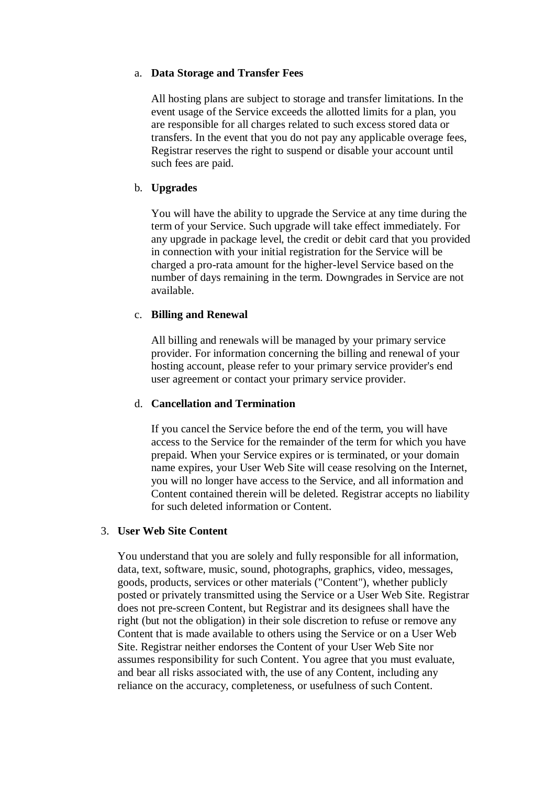#### a. **Data Storage and Transfer Fees**

All hosting plans are subject to storage and transfer limitations. In the event usage of the Service exceeds the allotted limits for a plan, you are responsible for all charges related to such excess stored data or transfers. In the event that you do not pay any applicable overage fees, Registrar reserves the right to suspend or disable your account until such fees are paid.

### b. **Upgrades**

You will have the ability to upgrade the Service at any time during the term of your Service. Such upgrade will take effect immediately. For any upgrade in package level, the credit or debit card that you provided in connection with your initial registration for the Service will be charged a pro-rata amount for the higher-level Service based on the number of days remaining in the term. Downgrades in Service are not available.

### c. **Billing and Renewal**

All billing and renewals will be managed by your primary service provider. For information concerning the billing and renewal of your hosting account, please refer to your primary service provider's end user agreement or contact your primary service provider.

### d. **Cancellation and Termination**

If you cancel the Service before the end of the term, you will have access to the Service for the remainder of the term for which you have prepaid. When your Service expires or is terminated, or your domain name expires, your User Web Site will cease resolving on the Internet, you will no longer have access to the Service, and all information and Content contained therein will be deleted. Registrar accepts no liability for such deleted information or Content.

### 3. **User Web Site Content**

You understand that you are solely and fully responsible for all information, data, text, software, music, sound, photographs, graphics, video, messages, goods, products, services or other materials ("Content"), whether publicly posted or privately transmitted using the Service or a User Web Site. Registrar does not pre-screen Content, but Registrar and its designees shall have the right (but not the obligation) in their sole discretion to refuse or remove any Content that is made available to others using the Service or on a User Web Site. Registrar neither endorses the Content of your User Web Site nor assumes responsibility for such Content. You agree that you must evaluate, and bear all risks associated with, the use of any Content, including any reliance on the accuracy, completeness, or usefulness of such Content.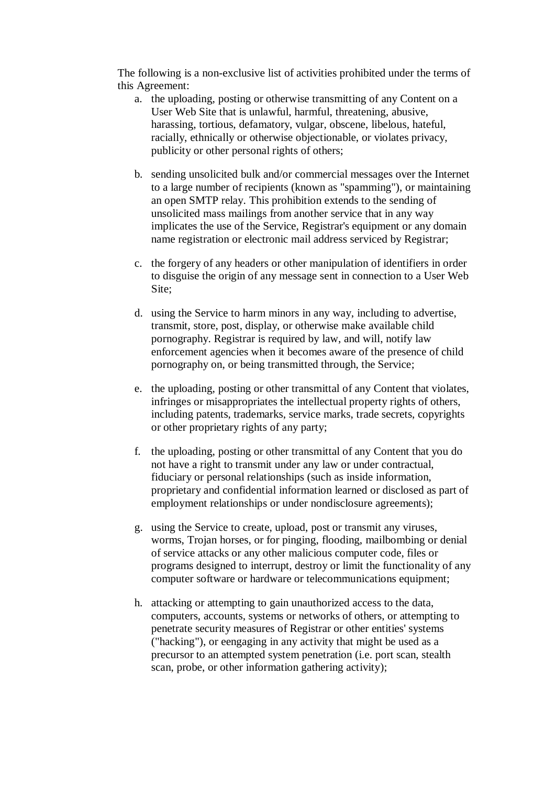The following is a non-exclusive list of activities prohibited under the terms of this Agreement:

- a. the uploading, posting or otherwise transmitting of any Content on a User Web Site that is unlawful, harmful, threatening, abusive, harassing, tortious, defamatory, vulgar, obscene, libelous, hateful, racially, ethnically or otherwise objectionable, or violates privacy, publicity or other personal rights of others;
- b. sending unsolicited bulk and/or commercial messages over the Internet to a large number of recipients (known as "spamming"), or maintaining an open SMTP relay. This prohibition extends to the sending of unsolicited mass mailings from another service that in any way implicates the use of the Service, Registrar's equipment or any domain name registration or electronic mail address serviced by Registrar;
- c. the forgery of any headers or other manipulation of identifiers in order to disguise the origin of any message sent in connection to a User Web Site;
- d. using the Service to harm minors in any way, including to advertise, transmit, store, post, display, or otherwise make available child pornography. Registrar is required by law, and will, notify law enforcement agencies when it becomes aware of the presence of child pornography on, or being transmitted through, the Service;
- e. the uploading, posting or other transmittal of any Content that violates, infringes or misappropriates the intellectual property rights of others, including patents, trademarks, service marks, trade secrets, copyrights or other proprietary rights of any party;
- f. the uploading, posting or other transmittal of any Content that you do not have a right to transmit under any law or under contractual, fiduciary or personal relationships (such as inside information, proprietary and confidential information learned or disclosed as part of employment relationships or under nondisclosure agreements);
- g. using the Service to create, upload, post or transmit any viruses, worms, Trojan horses, or for pinging, flooding, mailbombing or denial of service attacks or any other malicious computer code, files or programs designed to interrupt, destroy or limit the functionality of any computer software or hardware or telecommunications equipment;
- h. attacking or attempting to gain unauthorized access to the data, computers, accounts, systems or networks of others, or attempting to penetrate security measures of Registrar or other entities' systems ("hacking"), or eengaging in any activity that might be used as a precursor to an attempted system penetration (i.e. port scan, stealth scan, probe, or other information gathering activity);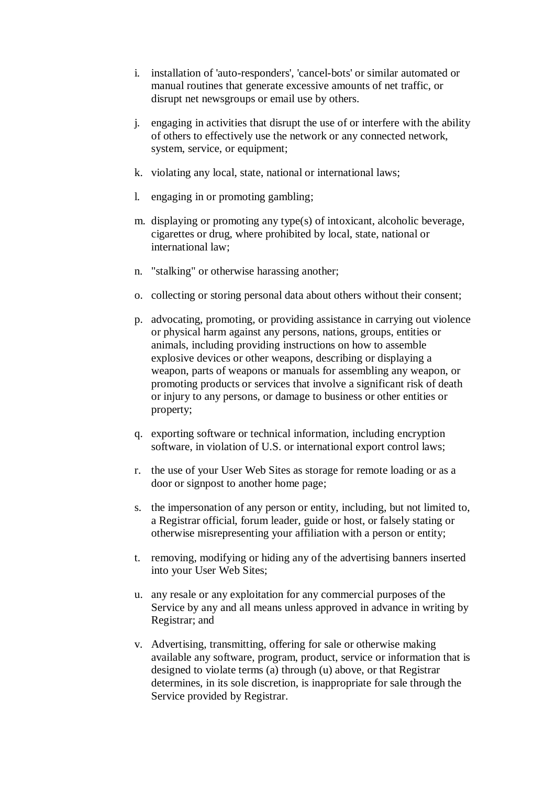- i. installation of 'auto-responders', 'cancel-bots' or similar automated or manual routines that generate excessive amounts of net traffic, or disrupt net newsgroups or email use by others.
- j. engaging in activities that disrupt the use of or interfere with the ability of others to effectively use the network or any connected network, system, service, or equipment;
- k. violating any local, state, national or international laws;
- l. engaging in or promoting gambling;
- m. displaying or promoting any type(s) of intoxicant, alcoholic beverage, cigarettes or drug, where prohibited by local, state, national or international law;
- n. "stalking" or otherwise harassing another;
- o. collecting or storing personal data about others without their consent;
- p. advocating, promoting, or providing assistance in carrying out violence or physical harm against any persons, nations, groups, entities or animals, including providing instructions on how to assemble explosive devices or other weapons, describing or displaying a weapon, parts of weapons or manuals for assembling any weapon, or promoting products or services that involve a significant risk of death or injury to any persons, or damage to business or other entities or property;
- q. exporting software or technical information, including encryption software, in violation of U.S. or international export control laws;
- r. the use of your User Web Sites as storage for remote loading or as a door or signpost to another home page;
- s. the impersonation of any person or entity, including, but not limited to, a Registrar official, forum leader, guide or host, or falsely stating or otherwise misrepresenting your affiliation with a person or entity;
- t. removing, modifying or hiding any of the advertising banners inserted into your User Web Sites;
- u. any resale or any exploitation for any commercial purposes of the Service by any and all means unless approved in advance in writing by Registrar; and
- v. Advertising, transmitting, offering for sale or otherwise making available any software, program, product, service or information that is designed to violate terms (a) through (u) above, or that Registrar determines, in its sole discretion, is inappropriate for sale through the Service provided by Registrar.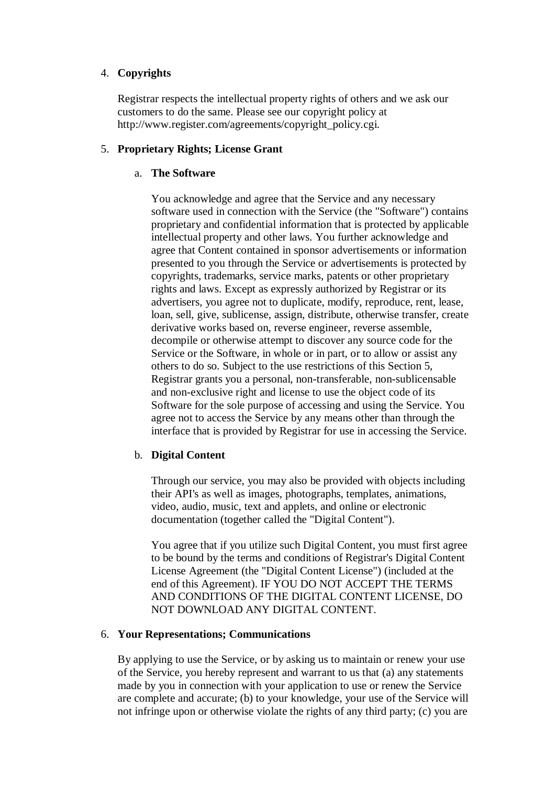### 4. **Copyrights**

Registrar respects the intellectual property rights of others and we ask our customers to do the same. Please see our copyright policy at [http://www.register.com/agreements/copyright\\_policy.cgi.](http://www.register.com/agreements/copyright_policy.cgi.) 

### 5. **Proprietary Rights; License Grant**

### a. **The Software**

You acknowledge and agree that the Service and any necessary software used in connection with the Service (the "Software") contains proprietary and confidential information that is protected by applicable intellectual property and other laws. You further acknowledge and agree that Content contained in sponsor advertisements or information presented to you through the Service or advertisements is protected by copyrights, trademarks, service marks, patents or other proprietary rights and laws. Except as expressly authorized by Registrar or its advertisers, you agree not to duplicate, modify, reproduce, rent, lease, loan, sell, give, sublicense, assign, distribute, otherwise transfer, create derivative works based on, reverse engineer, reverse assemble, decompile or otherwise attempt to discover any source code for the Service or the Software, in whole or in part, or to allow or assist any others to do so. Subject to the use restrictions of this Section 5, Registrar grants you a personal, non-transferable, non-sublicensable and non-exclusive right and license to use the object code of its Software for the sole purpose of accessing and using the Service. You agree not to access the Service by any means other than through the interface that is provided by Registrar for use in accessing the Service.

## b. **Digital Content**

Through our service, you may also be provided with objects including their API's as well as images, photographs, templates, animations, video, audio, music, text and applets, and online or electronic documentation (together called the "Digital Content").

You agree that if you utilize such Digital Content, you must first agree to be bound by the terms and conditions of Registrar's Digital Content License Agreement (the "Digital Content License") (included at the end of this Agreement). IF YOU DO NOT ACCEPT THE TERMS AND CONDITIONS OF THE DIGITAL CONTENT LICENSE, DO NOT DOWNLOAD ANY DIGITAL CONTENT.

### 6. **Your Representations; Communications**

By applying to use the Service, or by asking us to maintain or renew your use of the Service, you hereby represent and warrant to us that (a) any statements made by you in connection with your application to use or renew the Service are complete and accurate; (b) to your knowledge, your use of the Service will not infringe upon or otherwise violate the rights of any third party; (c) you are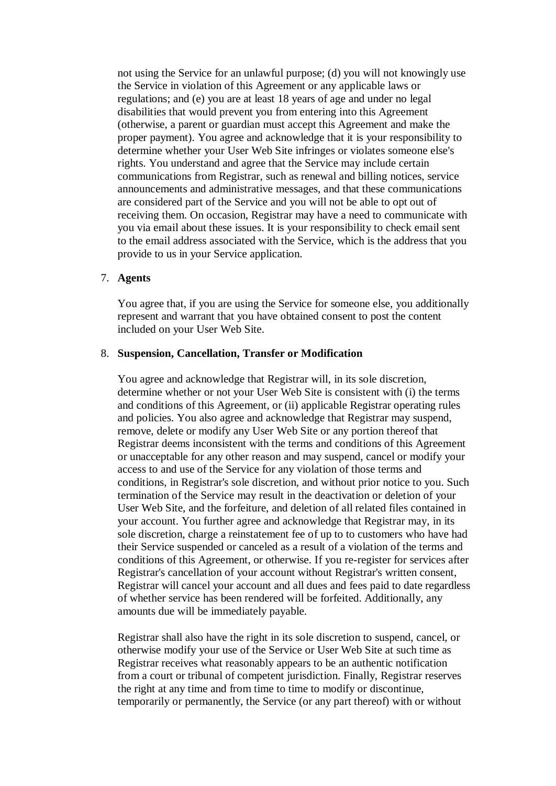not using the Service for an unlawful purpose; (d) you will not knowingly use the Service in violation of this Agreement or any applicable laws or regulations; and (e) you are at least 18 years of age and under no legal disabilities that would prevent you from entering into this Agreement (otherwise, a parent or guardian must accept this Agreement and make the proper payment). You agree and acknowledge that it is your responsibility to determine whether your User Web Site infringes or violates someone else's rights. You understand and agree that the Service may include certain communications from Registrar, such as renewal and billing notices, service announcements and administrative messages, and that these communications are considered part of the Service and you will not be able to opt out of receiving them. On occasion, Registrar may have a need to communicate with you via email about these issues. It is your responsibility to check email sent to the email address associated with the Service, which is the address that you provide to us in your Service application.

### 7. **Agents**

You agree that, if you are using the Service for someone else, you additionally represent and warrant that you have obtained consent to post the content included on your User Web Site.

#### 8. **Suspension, Cancellation, Transfer or Modification**

You agree and acknowledge that Registrar will, in its sole discretion, determine whether or not your User Web Site is consistent with (i) the terms and conditions of this Agreement, or (ii) applicable Registrar operating rules and policies. You also agree and acknowledge that Registrar may suspend, remove, delete or modify any User Web Site or any portion thereof that Registrar deems inconsistent with the terms and conditions of this Agreement or unacceptable for any other reason and may suspend, cancel or modify your access to and use of the Service for any violation of those terms and conditions, in Registrar's sole discretion, and without prior notice to you. Such termination of the Service may result in the deactivation or deletion of your User Web Site, and the forfeiture, and deletion of all related files contained in your account. You further agree and acknowledge that Registrar may, in its sole discretion, charge a reinstatement fee of up to to customers who have had their Service suspended or canceled as a result of a violation of the terms and conditions of this Agreement, or otherwise. If you re-register for services after Registrar's cancellation of your account without Registrar's written consent, Registrar will cancel your account and all dues and fees paid to date regardless of whether service has been rendered will be forfeited. Additionally, any amounts due will be immediately payable.

Registrar shall also have the right in its sole discretion to suspend, cancel, or otherwise modify your use of the Service or User Web Site at such time as Registrar receives what reasonably appears to be an authentic notification from a court or tribunal of competent jurisdiction. Finally, Registrar reserves the right at any time and from time to time to modify or discontinue, temporarily or permanently, the Service (or any part thereof) with or without